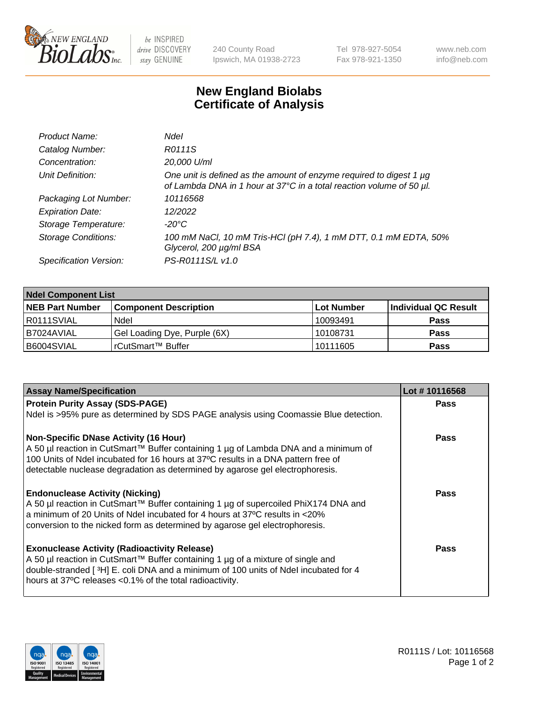

be INSPIRED drive DISCOVERY stay GENUINE

240 County Road Ipswich, MA 01938-2723 Tel 978-927-5054 Fax 978-921-1350 www.neb.com info@neb.com

## **New England Biolabs Certificate of Analysis**

| Product Name:              | Ndel                                                                                                                                             |
|----------------------------|--------------------------------------------------------------------------------------------------------------------------------------------------|
| Catalog Number:            | R0111S                                                                                                                                           |
| Concentration:             | 20,000 U/ml                                                                                                                                      |
| Unit Definition:           | One unit is defined as the amount of enzyme required to digest 1 $\mu$ g<br>of Lambda DNA in 1 hour at 37°C in a total reaction volume of 50 µl. |
| Packaging Lot Number:      | 10116568                                                                                                                                         |
| <b>Expiration Date:</b>    | 12/2022                                                                                                                                          |
| Storage Temperature:       | -20°C                                                                                                                                            |
| <b>Storage Conditions:</b> | 100 mM NaCl, 10 mM Tris-HCl (pH 7.4), 1 mM DTT, 0.1 mM EDTA, 50%<br>Glycerol, 200 µg/ml BSA                                                      |
| Specification Version:     | PS-R0111S/L v1.0                                                                                                                                 |

| <b>Ndel Component List</b> |                              |            |                       |  |  |
|----------------------------|------------------------------|------------|-----------------------|--|--|
| <b>NEB Part Number</b>     | <b>Component Description</b> | Lot Number | ∣Individual QC Result |  |  |
| R0111SVIAL                 | Ndel                         | 10093491   | <b>Pass</b>           |  |  |
| B7024AVIAL                 | Gel Loading Dye, Purple (6X) | 10108731   | <b>Pass</b>           |  |  |
| B6004SVIAL                 | rCutSmart™ Buffer            | 10111605   | Pass                  |  |  |

| <b>Assay Name/Specification</b>                                                      | Lot #10116568 |
|--------------------------------------------------------------------------------------|---------------|
| <b>Protein Purity Assay (SDS-PAGE)</b>                                               | <b>Pass</b>   |
| Ndel is >95% pure as determined by SDS PAGE analysis using Coomassie Blue detection. |               |
| <b>Non-Specific DNase Activity (16 Hour)</b>                                         | <b>Pass</b>   |
| A 50 µl reaction in CutSmart™ Buffer containing 1 µg of Lambda DNA and a minimum of  |               |
| 100 Units of Ndel incubated for 16 hours at 37°C results in a DNA pattern free of    |               |
| detectable nuclease degradation as determined by agarose gel electrophoresis.        |               |
| <b>Endonuclease Activity (Nicking)</b>                                               | Pass          |
| A 50 µl reaction in CutSmart™ Buffer containing 1 µg of supercoiled PhiX174 DNA and  |               |
| a minimum of 20 Units of Ndel incubated for 4 hours at 37°C results in <20%          |               |
| conversion to the nicked form as determined by agarose gel electrophoresis.          |               |
| <b>Exonuclease Activity (Radioactivity Release)</b>                                  | <b>Pass</b>   |
| A 50 µl reaction in CutSmart™ Buffer containing 1 µg of a mixture of single and      |               |
| double-stranded [3H] E. coli DNA and a minimum of 100 units of Ndel incubated for 4  |               |
| hours at 37°C releases <0.1% of the total radioactivity.                             |               |